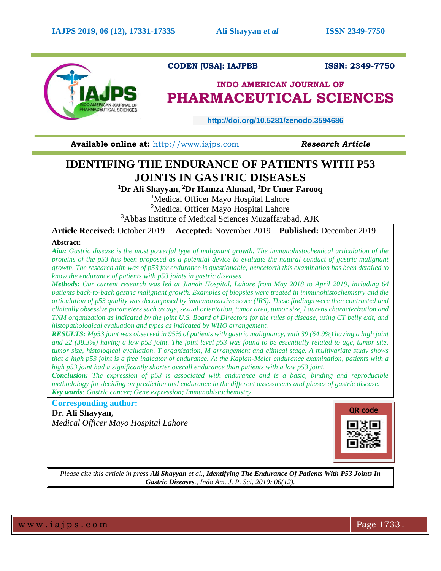

## **CODEN [USA]: IAJPBB ISSN: 2349-7750**

## **INDO AMERICAN JOURNAL OF PHARMACEUTICAL SCIENCES**

 **http://doi.org/10.5281/zenodo.3594686** 

**Available online at: [http://www.iajps.com](http://www.iajps.com/) Research Article** 

# **IDENTIFING THE ENDURANCE OF PATIENTS WITH P53 JOINTS IN GASTRIC DISEASES**

**<sup>1</sup>Dr Ali Shayyan, <sup>2</sup>Dr Hamza Ahmad, <sup>3</sup>Dr Umer Farooq** 

<sup>1</sup>Medical Officer Mayo Hospital Lahore

<sup>2</sup>Medical Officer Mayo Hospital Lahore

<sup>3</sup>Abbas Institute of Medical Sciences Muzaffarabad, AJK

**Article Received:** October 2019 **Accepted:** November 2019 **Published:** December 2019

## **Abstract:**

*Aim: Gastric disease is the most powerful type of malignant growth. The immunohistochemical articulation of the proteins of the p53 has been proposed as a potential device to evaluate the natural conduct of gastric malignant growth. The research aim was of p53 for endurance is questionable; henceforth this examination has been detailed to know the endurance of patients with p53 joints in gastric diseases.* 

*Methods: Our current research was led at Jinnah Hospital, Lahore from May 2018 to April 2019, including 64 patients back-to-back gastric malignant growth. Examples of biopsies were treated in immunohistochemistry and the articulation of p53 quality was decomposed by immunoreactive score (IRS). These findings were then contrasted and clinically obsessive parameters such as age, sexual orientation, tumor area, tumor size, Laurens characterization and TNM organization as indicated by the joint U.S. Board of Directors for the rules of disease, using CT belly exit, and histopathological evaluation and types as indicated by WHO arrangement.* 

*RESULTS: Mp53 joint was observed in 95% of patients with gastric malignancy, with 39 (64.9%) having a high joint and 22 (38.3%) having a low p53 joint. The joint level p53 was found to be essentially related to age, tumor site, tumor size, histological evaluation, T organization, M arrangement and clinical stage. A multivariate study shows that a high p53 joint is a free indicator of endurance. At the Kaplan-Meier endurance examination, patients with a high p53 joint had a significantly shorter overall endurance than patients with a low p53 joint.* 

*Conclusion: The expression of p53 is associated with endurance and is a basic, binding and reproducible methodology for deciding on prediction and endurance in the different assessments and phases of gastric disease. Key words: Gastric cancer; Gene expression; Immunohistochemistry.*

**Corresponding author:** 

**Dr. Ali Shayyan,** *Medical Officer Mayo Hospital Lahore*



*Please cite this article in press Ali Shayyan et al., Identifying The Endurance Of Patients With P53 Joints In Gastric Diseases., Indo Am. J. P. Sci, 2019; 06(12).*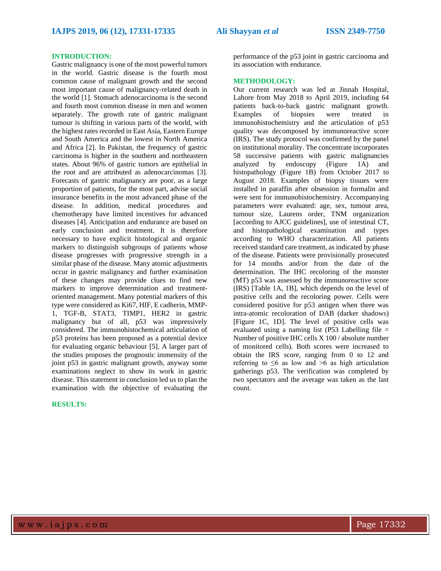#### **INTRODUCTION:**

Gastric malignancy is one of the most powerful tumors in the world. Gastric disease is the fourth most common cause of malignant growth and the second most important cause of malignancy-related death in the world [1]. Stomach adenocarcinoma is the second and fourth most common disease in men and women separately. The growth rate of gastric malignant tumour is shifting in various parts of the world, with the highest rates recorded in East Asia, Eastern Europe and South America and the lowest in North America and Africa [2]. In Pakistan, the frequency of gastric carcinoma is higher in the southern and northeastern states. About 96% of gastric tumors are epithelial in the root and are attributed as adenocarcinomas [3]. Forecasts of gastric malignancy are poor, as a large proportion of patients, for the most part, advise social insurance benefits in the most advanced phase of the disease. In addition, medical procedures and chemotherapy have limited incentives for advanced diseases [4]. Anticipation and endurance are based on early conclusion and treatment. It is therefore necessary to have explicit histological and organic markers to distinguish subgroups of patients whose disease progresses with progressive strength in a similar phase of the disease. Many atomic adjustments occur in gastric malignancy and further examination of these changes may provide clues to find new markers to improve determination and treatmentoriented management. Many potential markers of this type were considered as Ki67, HIF, E cadherin, MMP-1, TGF-B, STAT3, TIMP1, HER2 in gastric malignancy but of all, p53 was impressively considered. The immunohistochemical articulation of p53 proteins has been proposed as a potential device for evaluating organic behaviour [5]. A larger part of the studies proposes the prognostic immensity of the joint p53 in gastric malignant growth, anyway some examinations neglect to show its work in gastric disease. This statement in conclusion led us to plan the examination with the objective of evaluating the

## **RESULTS:**

performance of the p53 joint in gastric carcinoma and its association with endurance.

### **METHODOLOGY:**

Our current research was led at Jinnah Hospital, Lahore from May 2018 to April 2019, including 64 patients back-to-back gastric malignant growth. Examples of biopsies were treated in immunohistochemistry and the articulation of p53 quality was decomposed by immunoreactive score (IRS). The study protocol was confirmed by the panel on institutional morality. The concentrate incorporates 58 successive patients with gastric malignancies analyzed by endoscopy (Figure 1A) and histopathology (Figure 1B) from October 2017 to August 2018. Examples of biopsy tissues were installed in paraffin after obsession in formalin and were sent for immunohistochemistry. Accompanying parameters were evaluated: age, sex, tumour area, tumour size, Laurens order, TNM organization [according to AJCC guidelines], use of intestinal CT, and histopathological examination and types according to WHO characterization. All patients received standard care treatment, as indicated by phase of the disease. Patients were provisionally prosecuted for 14 months and/or from the date of the determination. The IHC recoloring of the monster (MT) p53 was assessed by the immunoreactive score (IRS) [Table 1A, 1B], which depends on the level of positive cells and the recoloring power. Cells were considered positive for p53 antigen when there was intra-atomic recoloration of DAB (darker shadows) [Figure 1C, 1D]. The level of positive cells was evaluated using a naming list (P53 Labelling file  $=$ Number of positive IHC cells X 100 / absolute number of monitored cells). Both scores were increased to obtain the IRS score, ranging from 0 to 12 and referring to  $\leq 6$  as low and  $\geq 6$  as high articulation gatherings p53. The verification was completed by two spectators and the average was taken as the last count.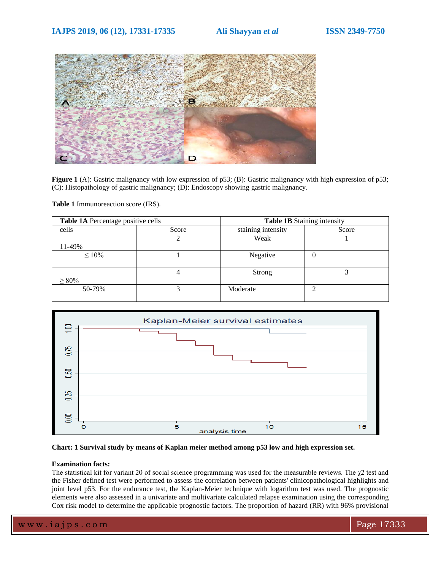

**Figure 1** (A): Gastric malignancy with low expression of p53; (B): Gastric malignancy with high expression of p53; (C): Histopathology of gastric malignancy; (D): Endoscopy showing gastric malignancy.

**Table 1** Immunoreaction score (IRS).

| Table 1A Percentage positive cells |       | Table 1B Staining intensity |       |
|------------------------------------|-------|-----------------------------|-------|
| cells                              | Score | staining intensity          | Score |
|                                    |       | Weak                        |       |
| 11-49%                             |       |                             |       |
| $\leq 10\%$                        |       | Negative                    | U     |
| $\geq 80\%$                        |       | Strong                      |       |
| 50-79%                             |       | Moderate                    | ◠     |





### **Examination facts:**

The statistical kit for variant 20 of social science programming was used for the measurable reviews. The χ2 test and the Fisher defined test were performed to assess the correlation between patients' clinicopathological highlights and joint level p53. For the endurance test, the Kaplan-Meier technique with logarithm test was used. The prognostic elements were also assessed in a univariate and multivariate calculated relapse examination using the corresponding Cox risk model to determine the applicable prognostic factors. The proportion of hazard (RR) with 96% provisional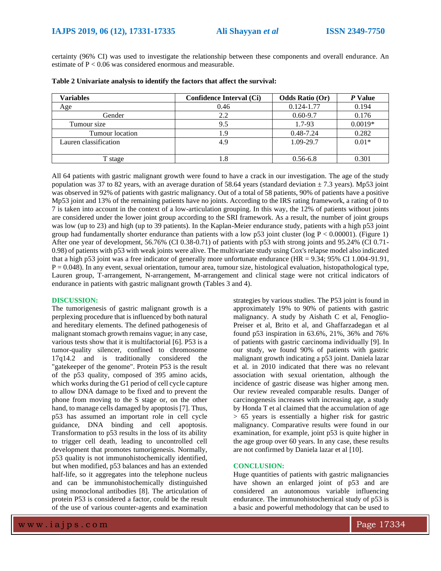certainty (96% CI) was used to investigate the relationship between these components and overall endurance. An estimate of P < 0.06 was considered enormous and measurable.

| Variables             | Confidence Interval (Ci) | <b>Odds Ratio (Or)</b> | P Value   |
|-----------------------|--------------------------|------------------------|-----------|
| Age                   | 0.46                     | $0.124 - 1.77$         | 0.194     |
| Gender                | 2.2                      | $0.60 - 9.7$           | 0.176     |
| Tumour size           | 9.5                      | 1.7-93                 | $0.0019*$ |
| Tumour location       | 1.9                      | 0.48-7.24              | 0.282     |
| Lauren classification | 4.9                      | 1.09-29.7              | $0.01*$   |
|                       |                          |                        |           |
| T stage               | 1.8                      | $0.56 - 6.8$           | 0.301     |

**Table 2 Univariate analysis to identify the factors that affect the survival:**

All 64 patients with gastric malignant growth were found to have a crack in our investigation. The age of the study population was 37 to 82 years, with an average duration of 58.64 years (standard deviation  $\pm$  7.3 years). Mp53 joint was observed in 92% of patients with gastric malignancy. Out of a total of 58 patients, 90% of patients have a positive Mp53 joint and 13% of the remaining patients have no joints. According to the IRS rating framework, a rating of 0 to 7 is taken into account in the context of a low-articulation grouping. In this way, the 12% of patients without joints are considered under the lower joint group according to the SRI framework. As a result, the number of joint groups was low (up to 23) and high (up to 39 patients). In the Kaplan-Meier endurance study, patients with a high p53 joint group had fundamentally shorter endurance than patients with a low p53 joint cluster (log  $P < 0.00001$ ). (Figure 1) After one year of development, 56.76% (CI 0.38-0.71) of patients with p53 with strong joints and 95.24% (CI 0.71- 0.98) of patients with p53 with weak joints were alive. The multivariate study using Cox's relapse model also indicated that a high p53 joint was a free indicator of generally more unfortunate endurance (HR = 9.34; 95% CI 1.004-91.91,  $P = 0.048$ ). In any event, sexual orientation, tumour area, tumour size, histological evaluation, histopathological type, Lauren group, T-arrangement, N-arrangement, M-arrangement and clinical stage were not critical indicators of endurance in patients with gastric malignant growth (Tables 3 and 4).

#### **DISCUSSION:**

The tumorigenesis of gastric malignant growth is a perplexing procedure that is influenced by both natural and hereditary elements. The defined pathogenesis of malignant stomach growth remains vague; in any case, various tests show that it is multifactorial [6]. P53 is a tumor-quality silencer, confined to chromosome 17q14.2 and is traditionally considered the "gatekeeper of the genome". Protein P53 is the result of the p53 quality, composed of 395 amino acids, which works during the G1 period of cell cycle capture to allow DNA damage to be fixed and to prevent the phone from moving to the S stage or, on the other hand, to manage cells damaged by apoptosis [7]. Thus, p53 has assumed an important role in cell cycle guidance, DNA binding and cell apoptosis. Transformation to p53 results in the loss of its ability to trigger cell death, leading to uncontrolled cell development that promotes tumorigenesis. Normally, p53 quality is not immunohistochemically identified, but when modified, p53 balances and has an extended half-life, so it aggregates into the telephone nucleus and can be immunohistochemically distinguished using monoclonal antibodies [8]. The articulation of protein P53 is considered a factor, could be the result of the use of various counter-agents and examination

strategies by various studies. The P53 joint is found in approximately 19% to 90% of patients with gastric malignancy. A study by Aishath C et al, Fenoglio-Preiser et al, Brito et al, and Ghaffarzadegan et al found p53 inspiration in 63.6%, 21%, 36% and 76% of patients with gastric carcinoma individually [9]. In our study, we found 90% of patients with gastric malignant growth indicating a p53 joint. Daniela lazar et al. in 2010 indicated that there was no relevant association with sexual orientation, although the incidence of gastric disease was higher among men. Our review revealed comparable results. Danger of carcinogenesis increases with increasing age, a study by Honda T et al claimed that the accumulation of age > 65 years is essentially a higher risk for gastric malignancy. Comparative results were found in our examination, for example, joint p53 is quite higher in the age group over 60 years. In any case, these results are not confirmed by Daniela lazar et al [10].

#### **CONCLUSION:**

Huge quantities of patients with gastric malignancies have shown an enlarged joint of p53 and are considered an autonomous variable influencing endurance. The immunohistochemical study of p53 is a basic and powerful methodology that can be used to